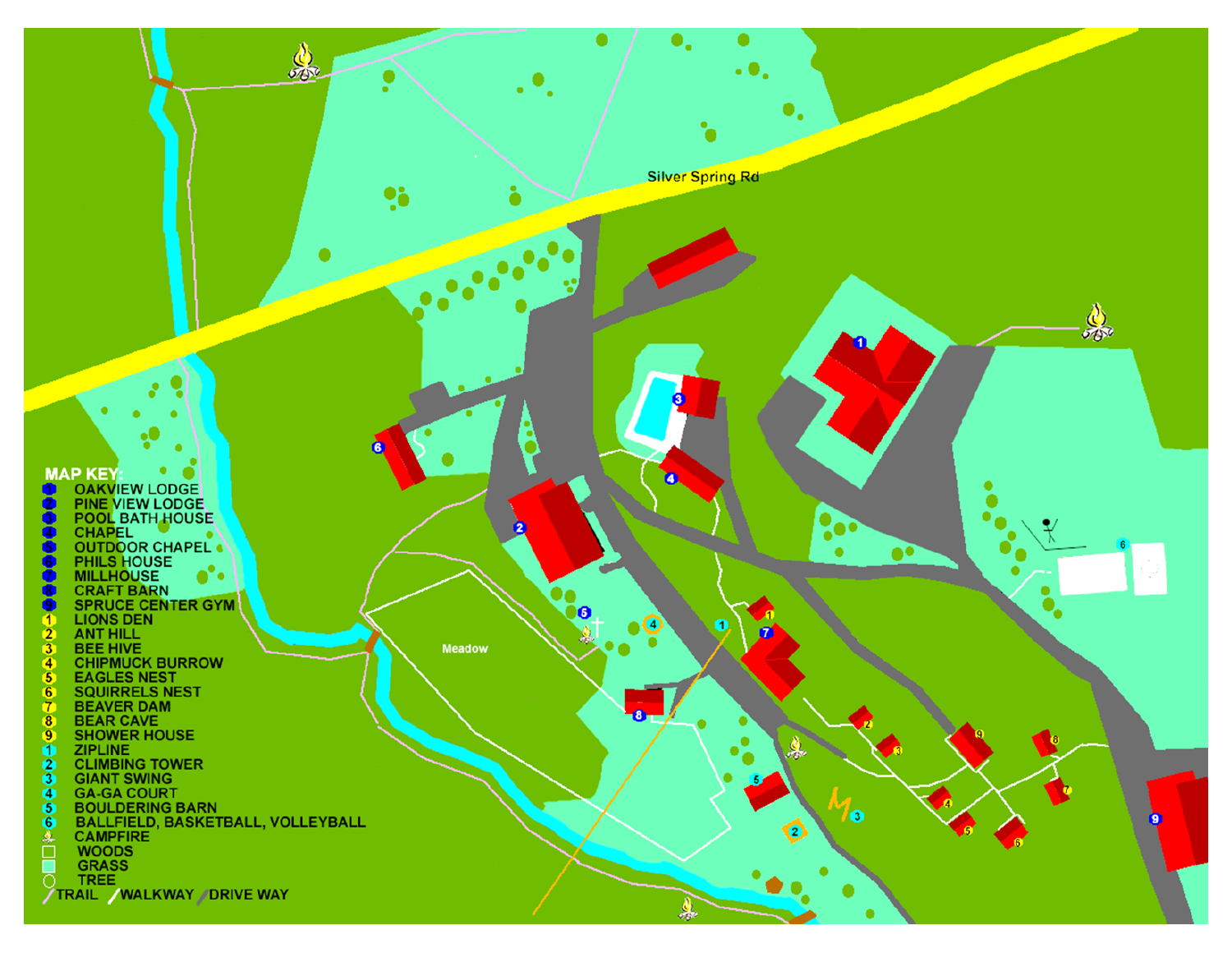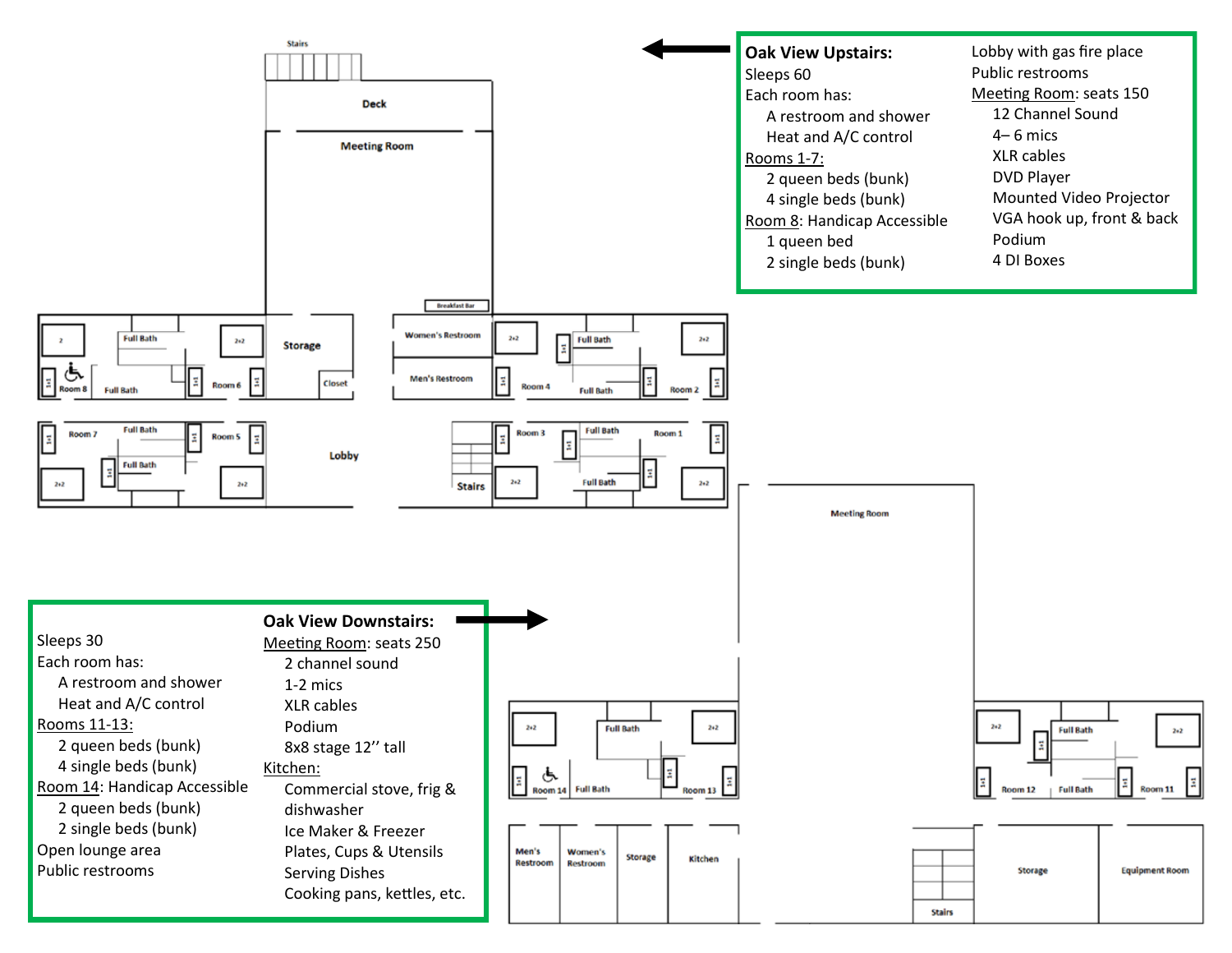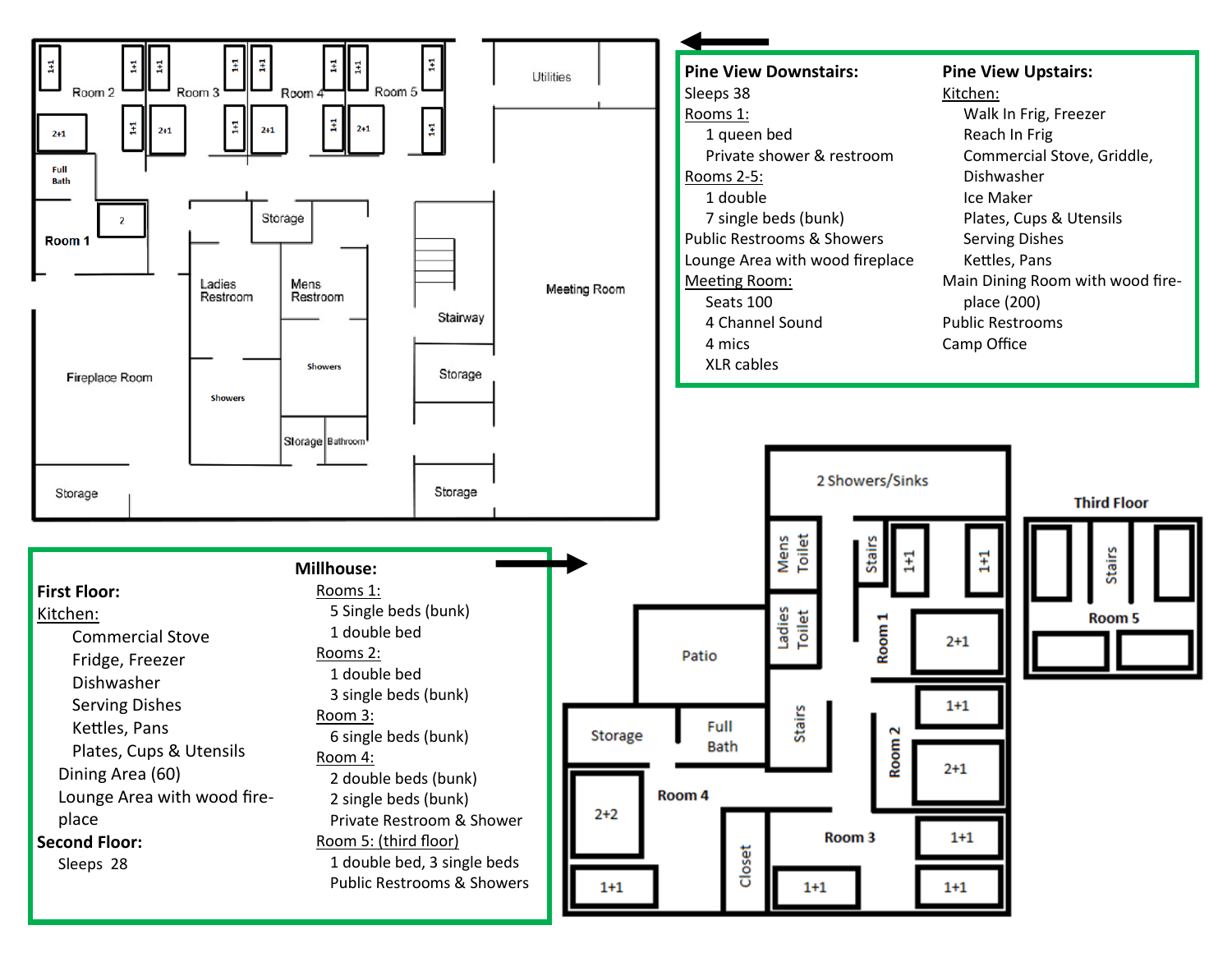